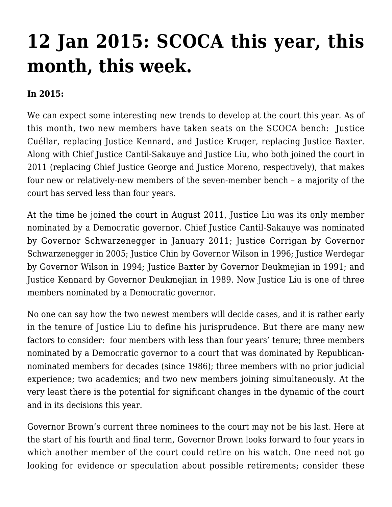## **[12 Jan 2015: SCOCA this year, this](http://scocablog.com/12-jan-2015-scoca-this-year-this-month-this-week/) [month, this week.](http://scocablog.com/12-jan-2015-scoca-this-year-this-month-this-week/)**

## **In 2015:**

We can expect some interesting new trends to develop at the court this year. As of this month, two new members have taken seats on the SCOCA bench: Justice Cuéllar, replacing Justice Kennard, and Justice Kruger, replacing Justice Baxter. Along with Chief Justice Cantil-Sakauye and Justice Liu, who both joined the court in 2011 (replacing Chief Justice George and Justice Moreno, respectively), that makes four new or relatively-new members of the seven-member bench – a majority of the court has served less than four years.

At the time he joined the court in August 2011, Justice Liu was its only member nominated by a Democratic governor. Chief Justice Cantil-Sakauye was nominated by Governor Schwarzenegger in January 2011; Justice Corrigan by Governor Schwarzenegger in 2005; Justice Chin by Governor Wilson in 1996; Justice Werdegar by Governor Wilson in 1994; Justice Baxter by Governor Deukmejian in 1991; and Justice Kennard by Governor Deukmejian in 1989. Now Justice Liu is one of three members nominated by a Democratic governor.

No one can say how the two newest members will decide cases, and it is rather early in the tenure of Justice Liu to define his jurisprudence. But there are many new factors to consider: four members with less than four years' tenure; three members nominated by a Democratic governor to a court that was dominated by Republicannominated members for decades (since 1986); three members with no prior judicial experience; two academics; and two new members joining simultaneously. At the very least there is the potential for significant changes in the dynamic of the court and in its decisions this year.

Governor Brown's current three nominees to the court may not be his last. Here at the start of his fourth and final term, Governor Brown looks forward to four years in which another member of the court could retire on his watch. One need not go looking for evidence or speculation about possible retirements; consider these